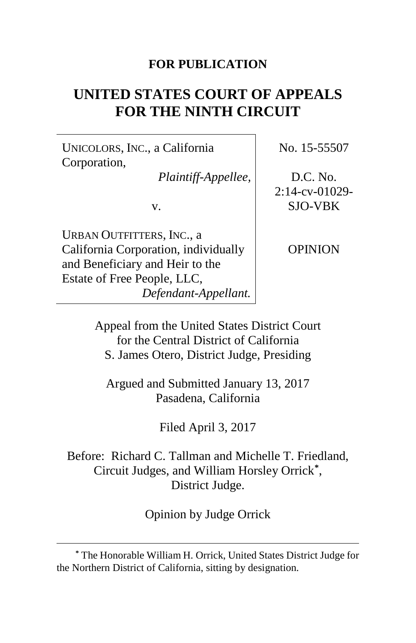### **FOR PUBLICATION**

# **UNITED STATES COURT OF APPEALS FOR THE NINTH CIRCUIT**

UNICOLORS, INC., a California Corporation,

*Plaintiff-Appellee,*

v.

URBAN OUTFITTERS, INC., a California Corporation, individually and Beneficiary and Heir to the Estate of Free People, LLC, *Defendant-Appellant.*

 $\overline{a}$ 

No. 15-55507

D.C. No. 2:14-cv-01029- SJO-VBK

OPINION

Appeal from the United States District Court for the Central District of California S. James Otero, District Judge, Presiding

Argued and Submitted January 13, 2017 Pasadena, California

Filed April 3, 2017

Before: Richard C. Tallman and Michelle T. Friedland, Circuit Judges, and William Horsley Orrick**[\\*](#page-0-0)**, District Judge.

Opinion by Judge Orrick

<span id="page-0-0"></span>**<sup>\*</sup>** The Honorable William H. Orrick, United States District Judge for the Northern District of California, sitting by designation.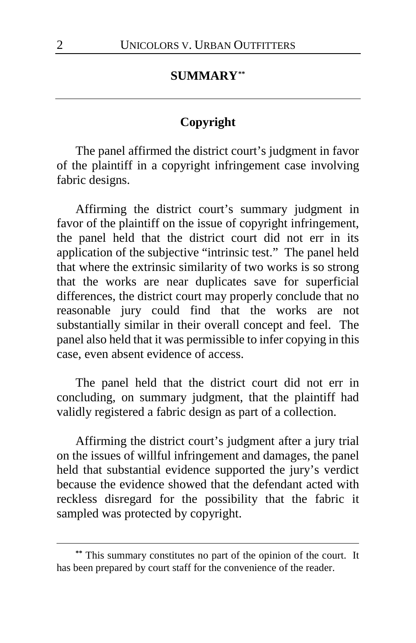#### **SUMMARY[\\*\\*](#page-1-0)**

### **Copyright**

The panel affirmed the district court's judgment in favor of the plaintiff in a copyright infringement case involving fabric designs.

Affirming the district court's summary judgment in favor of the plaintiff on the issue of copyright infringement, the panel held that the district court did not err in its application of the subjective "intrinsic test." The panel held that where the extrinsic similarity of two works is so strong that the works are near duplicates save for superficial differences, the district court may properly conclude that no reasonable jury could find that the works are not substantially similar in their overall concept and feel. The panel also held that it was permissible to infer copying in this case, even absent evidence of access.

The panel held that the district court did not err in concluding, on summary judgment, that the plaintiff had validly registered a fabric design as part of a collection.

Affirming the district court's judgment after a jury trial on the issues of willful infringement and damages, the panel held that substantial evidence supported the jury's verdict because the evidence showed that the defendant acted with reckless disregard for the possibility that the fabric it sampled was protected by copyright.

 $\overline{a}$ 

<span id="page-1-0"></span>**<sup>\*\*</sup>** This summary constitutes no part of the opinion of the court. It has been prepared by court staff for the convenience of the reader.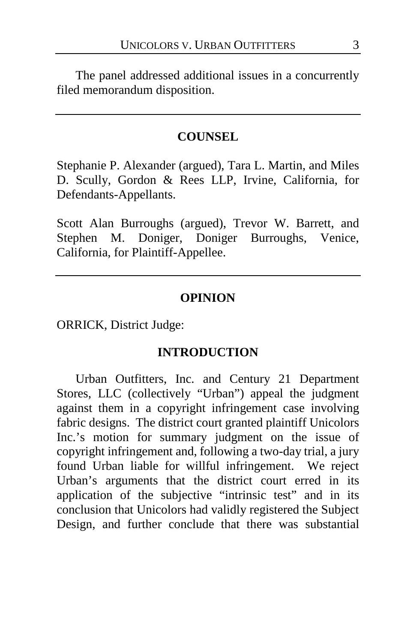The panel addressed additional issues in a concurrently filed memorandum disposition.

### **COUNSEL**

Stephanie P. Alexander (argued), Tara L. Martin, and Miles D. Scully, Gordon & Rees LLP, Irvine, California, for Defendants-Appellants.

Scott Alan Burroughs (argued), Trevor W. Barrett, and Stephen M. Doniger, Doniger Burroughs, Venice, California, for Plaintiff-Appellee.

#### **OPINION**

ORRICK, District Judge:

### **INTRODUCTION**

Urban Outfitters, Inc. and Century 21 Department Stores, LLC (collectively "Urban") appeal the judgment against them in a copyright infringement case involving fabric designs. The district court granted plaintiff Unicolors Inc.'s motion for summary judgment on the issue of copyright infringement and, following a two-day trial, a jury found Urban liable for willful infringement. We reject Urban's arguments that the district court erred in its application of the subjective "intrinsic test" and in its conclusion that Unicolors had validly registered the Subject Design, and further conclude that there was substantial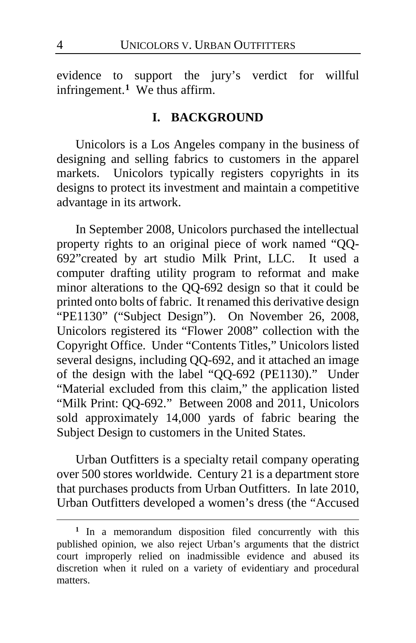evidence to support the jury's verdict for willful infringement.**[1](#page-3-0)** We thus affirm.

### **I. BACKGROUND**

Unicolors is a Los Angeles company in the business of designing and selling fabrics to customers in the apparel markets. Unicolors typically registers copyrights in its designs to protect its investment and maintain a competitive advantage in its artwork.

In September 2008, Unicolors purchased the intellectual property rights to an original piece of work named "QQ-692"created by art studio Milk Print, LLC. It used a computer drafting utility program to reformat and make minor alterations to the QQ-692 design so that it could be printed onto bolts of fabric. It renamed this derivative design "PE1130" ("Subject Design"). On November 26, 2008, Unicolors registered its "Flower 2008" collection with the Copyright Office. Under "Contents Titles," Unicolors listed several designs, including QQ-692, and it attached an image of the design with the label "QQ-692 (PE1130)." Under "Material excluded from this claim," the application listed "Milk Print: QQ-692." Between 2008 and 2011, Unicolors sold approximately 14,000 yards of fabric bearing the Subject Design to customers in the United States.

Urban Outfitters is a specialty retail company operating over 500 stores worldwide. Century 21 is a department store that purchases products from Urban Outfitters. In late 2010, Urban Outfitters developed a women's dress (the "Accused

 $\overline{a}$ 

<span id="page-3-0"></span>**<sup>1</sup>** In a memorandum disposition filed concurrently with this published opinion, we also reject Urban's arguments that the district court improperly relied on inadmissible evidence and abused its discretion when it ruled on a variety of evidentiary and procedural matters.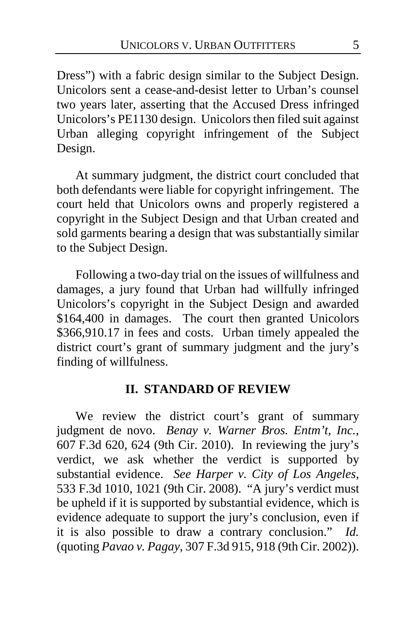Dress") with a fabric design similar to the Subject Design. Unicolors sent a cease-and-desist letter to Urban's counsel two years later, asserting that the Accused Dress infringed Unicolors's PE1130 design. Unicolors then filed suit against Urban alleging copyright infringement of the Subject Design.

At summary judgment, the district court concluded that both defendants were liable for copyright infringement. The court held that Unicolors owns and properly registered a copyright in the Subject Design and that Urban created and sold garments bearing a design that was substantially similar to the Subject Design.

Following a two-day trial on the issues of willfulness and damages, a jury found that Urban had willfully infringed Unicolors's copyright in the Subject Design and awarded \$164,400 in damages. The court then granted Unicolors \$366,910.17 in fees and costs. Urban timely appealed the district court's grant of summary judgment and the jury's finding of willfulness.

### **II. STANDARD OF REVIEW**

We review the district court's grant of summary judgment de novo. *Benay v. Warner Bros. Entm't, Inc.*, 607 F.3d 620, 624 (9th Cir. 2010). In reviewing the jury's verdict, we ask whether the verdict is supported by substantial evidence. *See Harper v. City of Los Angeles*, 533 F.3d 1010, 1021 (9th Cir. 2008). "A jury's verdict must be upheld if it is supported by substantial evidence, which is evidence adequate to support the jury's conclusion, even if it is also possible to draw a contrary conclusion." *Id.* (quoting *Pavao v. Pagay*, 307 F.3d 915, 918 (9th Cir. 2002)).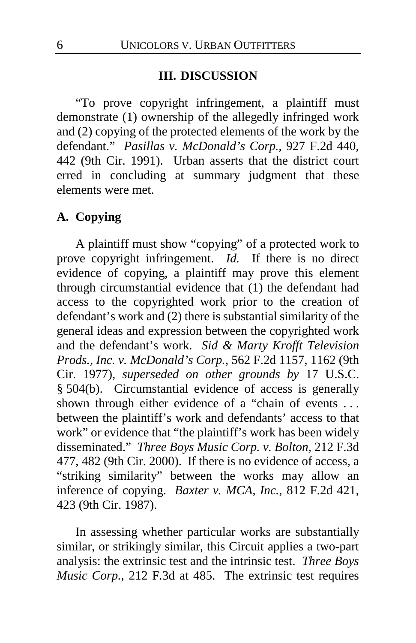#### **III. DISCUSSION**

"To prove copyright infringement, a plaintiff must demonstrate (1) ownership of the allegedly infringed work and (2) copying of the protected elements of the work by the defendant." *Pasillas v. McDonald's Corp.*, 927 F.2d 440, 442 (9th Cir. 1991). Urban asserts that the district court erred in concluding at summary judgment that these elements were met.

### **A. Copying**

A plaintiff must show "copying" of a protected work to prove copyright infringement. *Id.* If there is no direct evidence of copying, a plaintiff may prove this element through circumstantial evidence that (1) the defendant had access to the copyrighted work prior to the creation of defendant's work and (2) there is substantial similarity of the general ideas and expression between the copyrighted work and the defendant's work. *Sid & Marty Krofft Television Prods., Inc. v. McDonald's Corp.*, 562 F.2d 1157, 1162 (9th Cir. 1977), *superseded on other grounds by* 17 U.S.C. § 504(b). Circumstantial evidence of access is generally shown through either evidence of a "chain of events . . . between the plaintiff's work and defendants' access to that work" or evidence that "the plaintiff's work has been widely disseminated." *Three Boys Music Corp. v. Bolton*, 212 F.3d 477, 482 (9th Cir. 2000). If there is no evidence of access, a "striking similarity" between the works may allow an inference of copying. *Baxter v. MCA, Inc.*, 812 F.2d 421, 423 (9th Cir. 1987).

In assessing whether particular works are substantially similar, or strikingly similar, this Circuit applies a two-part analysis: the extrinsic test and the intrinsic test. *Three Boys Music Corp.*, 212 F.3d at 485. The extrinsic test requires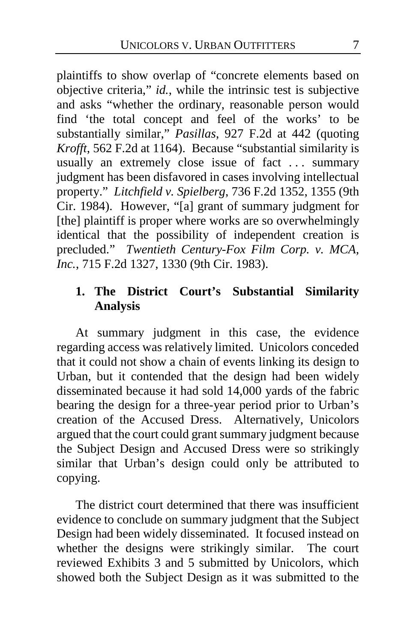plaintiffs to show overlap of "concrete elements based on objective criteria," *id.*, while the intrinsic test is subjective and asks "whether the ordinary, reasonable person would find 'the total concept and feel of the works' to be substantially similar," *Pasillas*, 927 F.2d at 442 (quoting *Krofft*, 562 F.2d at 1164). Because "substantial similarity is usually an extremely close issue of fact ... summary judgment has been disfavored in cases involving intellectual property." *Litchfield v. Spielberg*, 736 F.2d 1352, 1355 (9th Cir. 1984). However, "[a] grant of summary judgment for [the] plaintiff is proper where works are so overwhelmingly identical that the possibility of independent creation is precluded." *Twentieth Century-Fox Film Corp. v. MCA, Inc.*, 715 F.2d 1327, 1330 (9th Cir. 1983).

# **1. The District Court's Substantial Similarity Analysis**

At summary judgment in this case, the evidence regarding access was relatively limited. Unicolors conceded that it could not show a chain of events linking its design to Urban, but it contended that the design had been widely disseminated because it had sold 14,000 yards of the fabric bearing the design for a three-year period prior to Urban's creation of the Accused Dress. Alternatively, Unicolors argued that the court could grant summary judgment because the Subject Design and Accused Dress were so strikingly similar that Urban's design could only be attributed to copying.

The district court determined that there was insufficient evidence to conclude on summary judgment that the Subject Design had been widely disseminated. It focused instead on whether the designs were strikingly similar. The court reviewed Exhibits 3 and 5 submitted by Unicolors, which showed both the Subject Design as it was submitted to the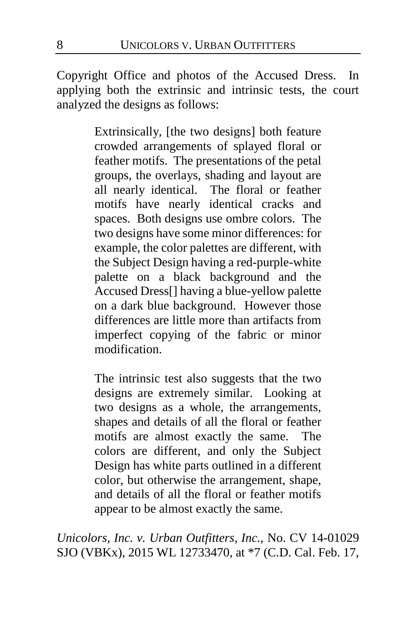Copyright Office and photos of the Accused Dress. In applying both the extrinsic and intrinsic tests, the court analyzed the designs as follows:

> Extrinsically, [the two designs] both feature crowded arrangements of splayed floral or feather motifs. The presentations of the petal groups, the overlays, shading and layout are all nearly identical. The floral or feather motifs have nearly identical cracks and spaces. Both designs use ombre colors. The two designs have some minor differences: for example, the color palettes are different, with the Subject Design having a red-purple-white palette on a black background and the Accused Dress[] having a blue-yellow palette on a dark blue background. However those differences are little more than artifacts from imperfect copying of the fabric or minor modification.

> The intrinsic test also suggests that the two designs are extremely similar. Looking at two designs as a whole, the arrangements, shapes and details of all the floral or feather motifs are almost exactly the same. The colors are different, and only the Subject Design has white parts outlined in a different color, but otherwise the arrangement, shape, and details of all the floral or feather motifs appear to be almost exactly the same.

*Unicolors, Inc. v. Urban Outfitters, Inc.*, No. CV 14-01029 SJO (VBKx), 2015 WL 12733470, at \*7 (C.D. Cal. Feb. 17,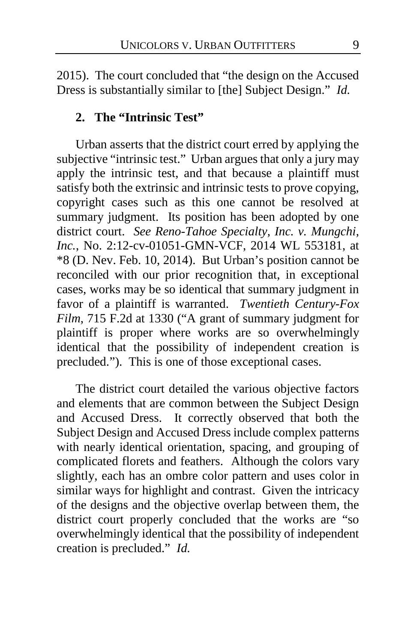2015). The court concluded that "the design on the Accused Dress is substantially similar to [the] Subject Design." *Id.*

### **2. The "Intrinsic Test"**

Urban asserts that the district court erred by applying the subjective "intrinsic test." Urban argues that only a jury may apply the intrinsic test, and that because a plaintiff must satisfy both the extrinsic and intrinsic tests to prove copying, copyright cases such as this one cannot be resolved at summary judgment. Its position has been adopted by one district court. *See Reno-Tahoe Specialty, Inc. v. Mungchi, Inc.*, No. 2:12-cv-01051-GMN-VCF, 2014 WL 553181, at \*8 (D. Nev. Feb. 10, 2014). But Urban's position cannot be reconciled with our prior recognition that, in exceptional cases, works may be so identical that summary judgment in favor of a plaintiff is warranted. *Twentieth Century-Fox Film*, 715 F.2d at 1330 ("A grant of summary judgment for plaintiff is proper where works are so overwhelmingly identical that the possibility of independent creation is precluded."). This is one of those exceptional cases.

The district court detailed the various objective factors and elements that are common between the Subject Design and Accused Dress. It correctly observed that both the Subject Design and Accused Dress include complex patterns with nearly identical orientation, spacing, and grouping of complicated florets and feathers. Although the colors vary slightly, each has an ombre color pattern and uses color in similar ways for highlight and contrast. Given the intricacy of the designs and the objective overlap between them, the district court properly concluded that the works are "so overwhelmingly identical that the possibility of independent creation is precluded." *Id.*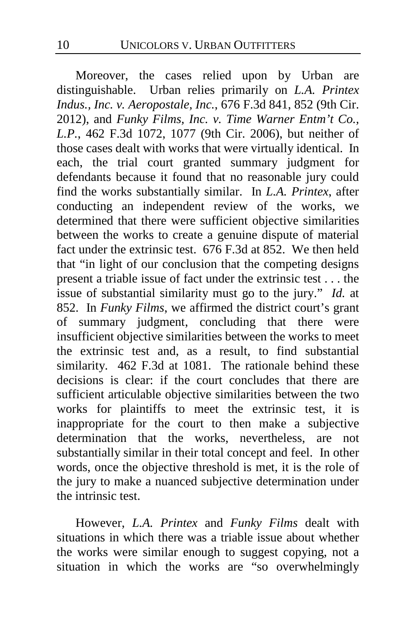Moreover, the cases relied upon by Urban are distinguishable. Urban relies primarily on *L.A. Printex Indus., Inc. v. Aeropostale, Inc.*, 676 F.3d 841, 852 (9th Cir. 2012), and *Funky Films, Inc. v. Time Warner Entm't Co., L.P.*, 462 F.3d 1072, 1077 (9th Cir. 2006), but neither of those cases dealt with works that were virtually identical. In each, the trial court granted summary judgment for defendants because it found that no reasonable jury could find the works substantially similar. In *L.A. Printex*, after conducting an independent review of the works, we determined that there were sufficient objective similarities between the works to create a genuine dispute of material fact under the extrinsic test. 676 F.3d at 852. We then held that "in light of our conclusion that the competing designs present a triable issue of fact under the extrinsic test . . . the issue of substantial similarity must go to the jury." *Id.* at 852. In *Funky Films*, we affirmed the district court's grant of summary judgment, concluding that there were insufficient objective similarities between the works to meet the extrinsic test and, as a result, to find substantial similarity. 462 F.3d at 1081. The rationale behind these decisions is clear: if the court concludes that there are sufficient articulable objective similarities between the two works for plaintiffs to meet the extrinsic test, it is inappropriate for the court to then make a subjective determination that the works, nevertheless, are not substantially similar in their total concept and feel. In other words, once the objective threshold is met, it is the role of the jury to make a nuanced subjective determination under the intrinsic test.

However, *L.A. Printex* and *Funky Films* dealt with situations in which there was a triable issue about whether the works were similar enough to suggest copying, not a situation in which the works are "so overwhelmingly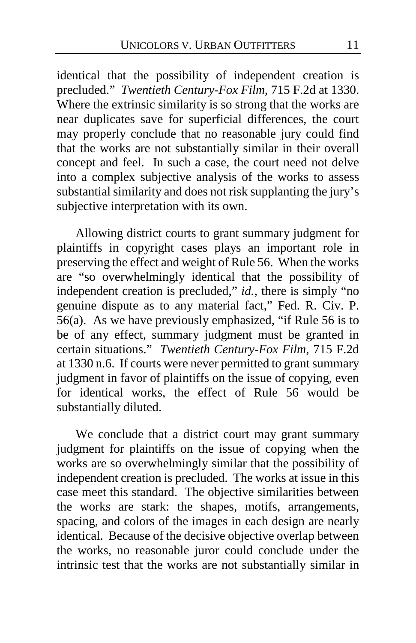identical that the possibility of independent creation is precluded." *Twentieth Century-Fox Film*, 715 F.2d at 1330. Where the extrinsic similarity is so strong that the works are near duplicates save for superficial differences, the court may properly conclude that no reasonable jury could find that the works are not substantially similar in their overall concept and feel. In such a case, the court need not delve into a complex subjective analysis of the works to assess substantial similarity and does not risk supplanting the jury's subjective interpretation with its own.

Allowing district courts to grant summary judgment for plaintiffs in copyright cases plays an important role in preserving the effect and weight of Rule 56. When the works are "so overwhelmingly identical that the possibility of independent creation is precluded," *id.*, there is simply "no genuine dispute as to any material fact," Fed. R. Civ. P. 56(a). As we have previously emphasized, "if Rule 56 is to be of any effect, summary judgment must be granted in certain situations." *Twentieth Century-Fox Film*, 715 F.2d at 1330 n.6. If courts were never permitted to grant summary judgment in favor of plaintiffs on the issue of copying, even for identical works, the effect of Rule 56 would be substantially diluted.

We conclude that a district court may grant summary judgment for plaintiffs on the issue of copying when the works are so overwhelmingly similar that the possibility of independent creation is precluded. The works at issue in this case meet this standard. The objective similarities between the works are stark: the shapes, motifs, arrangements, spacing, and colors of the images in each design are nearly identical. Because of the decisive objective overlap between the works, no reasonable juror could conclude under the intrinsic test that the works are not substantially similar in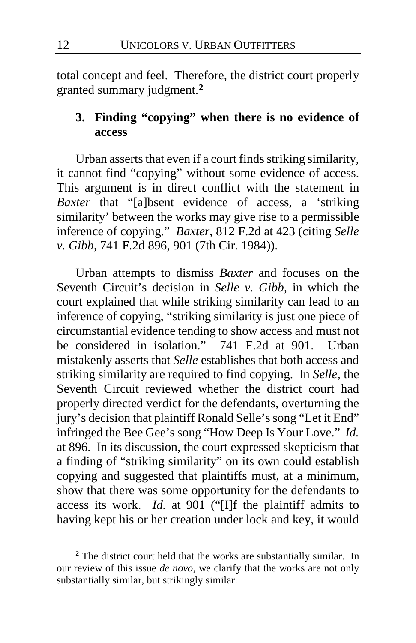total concept and feel. Therefore, the district court properly granted summary judgment.**[2](#page-11-0)**

# **3. Finding "copying" when there is no evidence of access**

Urban asserts that even if a court finds striking similarity, it cannot find "copying" without some evidence of access. This argument is in direct conflict with the statement in *Baxter* that "[a]bsent evidence of access, a 'striking similarity' between the works may give rise to a permissible inference of copying." *Baxter*, 812 F.2d at 423 (citing *Selle v. Gibb*, 741 F.2d 896, 901 (7th Cir. 1984)).

Urban attempts to dismiss *Baxter* and focuses on the Seventh Circuit's decision in *Selle v. Gibb*, in which the court explained that while striking similarity can lead to an inference of copying, "striking similarity is just one piece of circumstantial evidence tending to show access and must not be considered in isolation." 741 F.2d at 901. Urban mistakenly asserts that *Selle* establishes that both access and striking similarity are required to find copying. In *Selle*, the Seventh Circuit reviewed whether the district court had properly directed verdict for the defendants, overturning the jury's decision that plaintiff Ronald Selle's song "Let it End" infringed the Bee Gee's song "How Deep Is Your Love." *Id.* at 896. In its discussion, the court expressed skepticism that a finding of "striking similarity" on its own could establish copying and suggested that plaintiffs must, at a minimum, show that there was some opportunity for the defendants to access its work. *Id.* at 901 ("[I]f the plaintiff admits to having kept his or her creation under lock and key, it would

<u>.</u>

<span id="page-11-0"></span>**<sup>2</sup>** The district court held that the works are substantially similar. In our review of this issue *de novo*, we clarify that the works are not only substantially similar, but strikingly similar.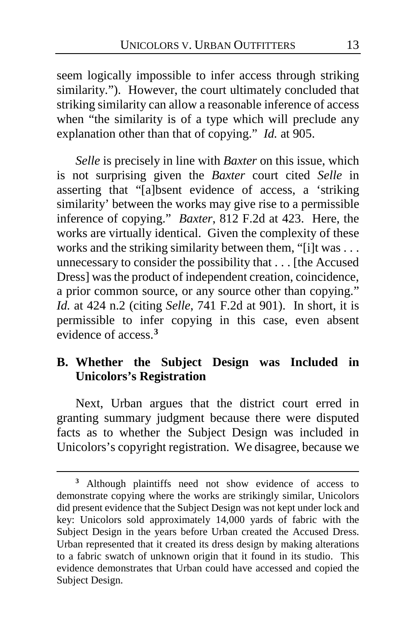seem logically impossible to infer access through striking similarity."). However, the court ultimately concluded that striking similarity can allow a reasonable inference of access when "the similarity is of a type which will preclude any explanation other than that of copying." *Id.* at 905.

*Selle* is precisely in line with *Baxter* on this issue, which is not surprising given the *Baxter* court cited *Selle* in asserting that "[a]bsent evidence of access, a 'striking similarity' between the works may give rise to a permissible inference of copying." *Baxter*, 812 F.2d at 423. Here, the works are virtually identical. Given the complexity of these works and the striking similarity between them, "[i]t was . . . unnecessary to consider the possibility that . . . [the Accused Dress] was the product of independent creation, coincidence, a prior common source, or any source other than copying." *Id.* at 424 n.2 (citing *Selle*, 741 F.2d at 901). In short, it is permissible to infer copying in this case, even absent evidence of access.**[3](#page-12-0)**

# **B. Whether the Subject Design was Included in Unicolors's Registration**

Next, Urban argues that the district court erred in granting summary judgment because there were disputed facts as to whether the Subject Design was included in Unicolors's copyright registration. We disagree, because we

<u>.</u>

<span id="page-12-0"></span>**<sup>3</sup>** Although plaintiffs need not show evidence of access to demonstrate copying where the works are strikingly similar, Unicolors did present evidence that the Subject Design was not kept under lock and key: Unicolors sold approximately 14,000 yards of fabric with the Subject Design in the years before Urban created the Accused Dress. Urban represented that it created its dress design by making alterations to a fabric swatch of unknown origin that it found in its studio. This evidence demonstrates that Urban could have accessed and copied the Subject Design.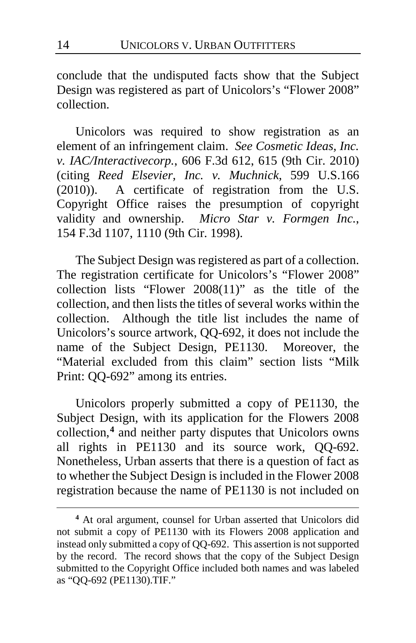conclude that the undisputed facts show that the Subject Design was registered as part of Unicolors's "Flower 2008" collection.

Unicolors was required to show registration as an element of an infringement claim. *See Cosmetic Ideas, Inc. v. IAC/Interactivecorp.*, 606 F.3d 612, 615 (9th Cir. 2010) (citing *Reed Elsevier, Inc. v. Muchnick*, 599 U.S.166 (2010)). A certificate of registration from the U.S. Copyright Office raises the presumption of copyright validity and ownership. *Micro Star v. Formgen Inc.*, 154 F.3d 1107, 1110 (9th Cir. 1998).

The Subject Design was registered as part of a collection. The registration certificate for Unicolors's "Flower 2008" collection lists "Flower 2008(11)" as the title of the collection, and then lists the titles of several works within the collection. Although the title list includes the name of Unicolors's source artwork, QQ-692, it does not include the name of the Subject Design, PE1130. Moreover, the "Material excluded from this claim" section lists "Milk Print: QQ-692" among its entries.

Unicolors properly submitted a copy of PE1130, the Subject Design, with its application for the Flowers 2008 collection,**[4](#page-13-0)** and neither party disputes that Unicolors owns all rights in PE1130 and its source work, QQ-692. Nonetheless, Urban asserts that there is a question of fact as to whether the Subject Design is included in the Flower 2008 registration because the name of PE1130 is not included on

-

<span id="page-13-0"></span>**<sup>4</sup>** At oral argument, counsel for Urban asserted that Unicolors did not submit a copy of PE1130 with its Flowers 2008 application and instead only submitted a copy of QQ-692. This assertion is not supported by the record. The record shows that the copy of the Subject Design submitted to the Copyright Office included both names and was labeled as "QQ-692 (PE1130).TIF."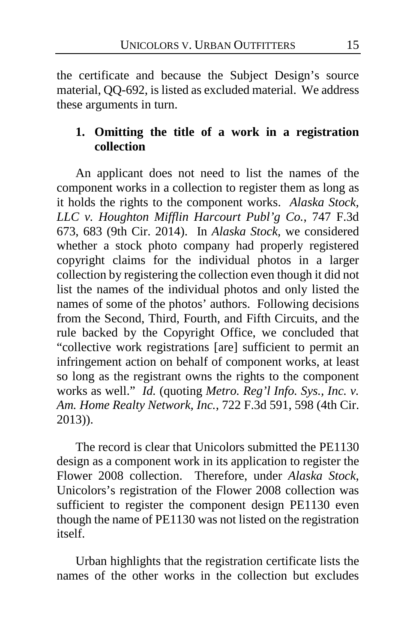the certificate and because the Subject Design's source material, QQ-692, is listed as excluded material. We address these arguments in turn.

# **1. Omitting the title of a work in a registration collection**

An applicant does not need to list the names of the component works in a collection to register them as long as it holds the rights to the component works. *Alaska Stock, LLC v. Houghton Mifflin Harcourt Publ'g Co.*, 747 F.3d 673, 683 (9th Cir. 2014). In *Alaska Stock,* we considered whether a stock photo company had properly registered copyright claims for the individual photos in a larger collection by registering the collection even though it did not list the names of the individual photos and only listed the names of some of the photos' authors. Following decisions from the Second, Third, Fourth, and Fifth Circuits, and the rule backed by the Copyright Office, we concluded that "collective work registrations [are] sufficient to permit an infringement action on behalf of component works, at least so long as the registrant owns the rights to the component works as well." *Id.* (quoting *Metro. Reg'l Info. Sys., Inc. v. Am. Home Realty Network, Inc.*, 722 F.3d 591, 598 (4th Cir. 2013)).

The record is clear that Unicolors submitted the PE1130 design as a component work in its application to register the Flower 2008 collection. Therefore, under *Alaska Stock*, Unicolors's registration of the Flower 2008 collection was sufficient to register the component design PE1130 even though the name of PE1130 was not listed on the registration itself.

Urban highlights that the registration certificate lists the names of the other works in the collection but excludes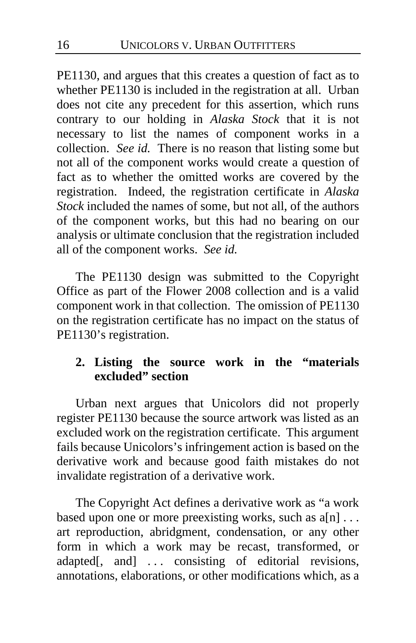PE1130, and argues that this creates a question of fact as to whether PE1130 is included in the registration at all. Urban does not cite any precedent for this assertion, which runs contrary to our holding in *Alaska Stock* that it is not necessary to list the names of component works in a collection. *See id.* There is no reason that listing some but not all of the component works would create a question of fact as to whether the omitted works are covered by the registration. Indeed, the registration certificate in *Alaska Stock* included the names of some, but not all, of the authors of the component works, but this had no bearing on our analysis or ultimate conclusion that the registration included all of the component works. *See id.*

The PE1130 design was submitted to the Copyright Office as part of the Flower 2008 collection and is a valid component work in that collection. The omission of PE1130 on the registration certificate has no impact on the status of PE1130's registration.

# **2. Listing the source work in the "materials excluded" section**

Urban next argues that Unicolors did not properly register PE1130 because the source artwork was listed as an excluded work on the registration certificate. This argument fails because Unicolors's infringement action is based on the derivative work and because good faith mistakes do not invalidate registration of a derivative work.

The Copyright Act defines a derivative work as "a work based upon one or more preexisting works, such as  $a[n]$ ... art reproduction, abridgment, condensation, or any other form in which a work may be recast, transformed, or adapted[, and] ... consisting of editorial revisions, annotations, elaborations, or other modifications which, as a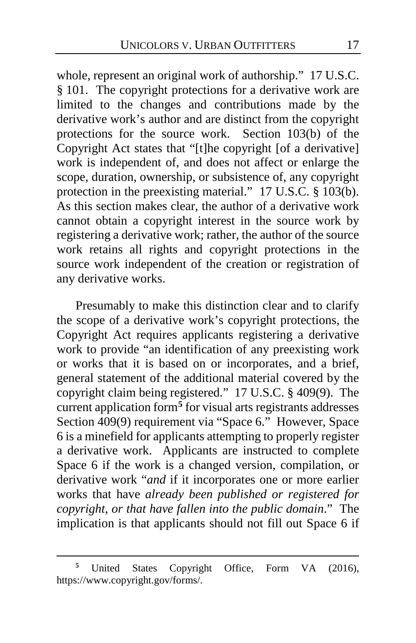whole, represent an original work of authorship." 17 U.S.C. § 101. The copyright protections for a derivative work are limited to the changes and contributions made by the derivative work's author and are distinct from the copyright protections for the source work. Section 103(b) of the Copyright Act states that "[t]he copyright [of a derivative] work is independent of, and does not affect or enlarge the scope, duration, ownership, or subsistence of, any copyright protection in the preexisting material." 17 U.S.C. § 103(b). As this section makes clear, the author of a derivative work cannot obtain a copyright interest in the source work by registering a derivative work; rather, the author of the source work retains all rights and copyright protections in the source work independent of the creation or registration of any derivative works.

Presumably to make this distinction clear and to clarify the scope of a derivative work's copyright protections, the Copyright Act requires applicants registering a derivative work to provide "an identification of any preexisting work or works that it is based on or incorporates, and a brief, general statement of the additional material covered by the copyright claim being registered." 17 U.S.C. § 409(9). The current application form**[5](#page-16-0)** for visual arts registrants addresses Section 409(9) requirement via "Space 6." However, Space 6 is a minefield for applicants attempting to properly register a derivative work. Applicants are instructed to complete Space 6 if the work is a changed version, compilation, or derivative work "*and* if it incorporates one or more earlier works that have *already been published or registered for copyright, or that have fallen into the public domain*." The implication is that applicants should not fill out Space 6 if

 $\overline{a}$ 

<span id="page-16-0"></span>United States Copyright Office, Form VA (2016), https://www.copyright.gov/forms/.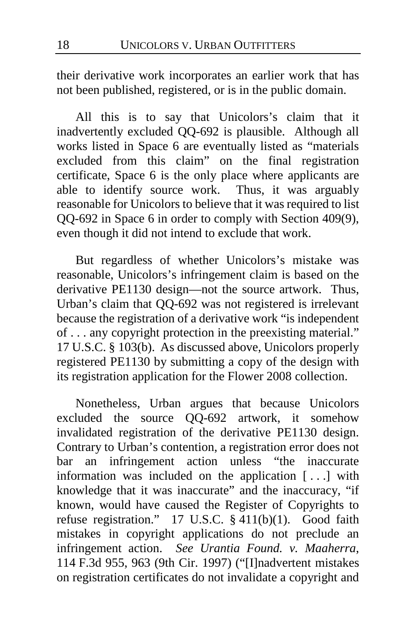their derivative work incorporates an earlier work that has not been published, registered, or is in the public domain.

All this is to say that Unicolors's claim that it inadvertently excluded QQ-692 is plausible. Although all works listed in Space 6 are eventually listed as "materials excluded from this claim" on the final registration certificate, Space 6 is the only place where applicants are able to identify source work. Thus, it was arguably reasonable for Unicolors to believe that it was required to list QQ-692 in Space 6 in order to comply with Section 409(9), even though it did not intend to exclude that work.

But regardless of whether Unicolors's mistake was reasonable, Unicolors's infringement claim is based on the derivative PE1130 design—not the source artwork. Thus, Urban's claim that QQ-692 was not registered is irrelevant because the registration of a derivative work "is independent of . . . any copyright protection in the preexisting material." 17 U.S.C. § 103(b). As discussed above, Unicolors properly registered PE1130 by submitting a copy of the design with its registration application for the Flower 2008 collection.

Nonetheless, Urban argues that because Unicolors excluded the source QQ-692 artwork, it somehow invalidated registration of the derivative PE1130 design. Contrary to Urban's contention, a registration error does not bar an infringement action unless "the inaccurate information was included on the application [ . . .] with knowledge that it was inaccurate" and the inaccuracy, "if known, would have caused the Register of Copyrights to refuse registration." 17 U.S.C. § 411(b)(1). Good faith mistakes in copyright applications do not preclude an infringement action. *See Urantia Found. v. Maaherra*, 114 F.3d 955, 963 (9th Cir. 1997) ("[I]nadvertent mistakes on registration certificates do not invalidate a copyright and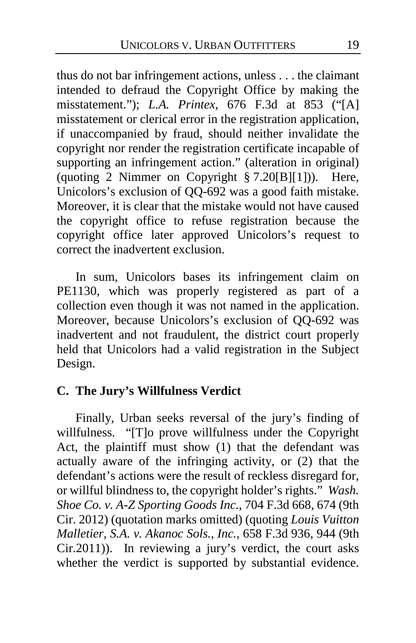thus do not bar infringement actions, unless . . . the claimant intended to defraud the Copyright Office by making the misstatement."); *L.A. Printex*, 676 F.3d at 853 ("[A] misstatement or clerical error in the registration application, if unaccompanied by fraud, should neither invalidate the copyright nor render the registration certificate incapable of supporting an infringement action." (alteration in original) (quoting 2 Nimmer on Copyright  $\S 7.20[B][1])$ ). Here, Unicolors's exclusion of QQ-692 was a good faith mistake. Moreover, it is clear that the mistake would not have caused the copyright office to refuse registration because the copyright office later approved Unicolors's request to correct the inadvertent exclusion.

In sum, Unicolors bases its infringement claim on PE1130, which was properly registered as part of a collection even though it was not named in the application. Moreover, because Unicolors's exclusion of QQ-692 was inadvertent and not fraudulent, the district court properly held that Unicolors had a valid registration in the Subject Design.

# **C. The Jury's Willfulness Verdict**

Finally, Urban seeks reversal of the jury's finding of willfulness. "[T]o prove willfulness under the Copyright Act, the plaintiff must show (1) that the defendant was actually aware of the infringing activity, or (2) that the defendant's actions were the result of reckless disregard for, or willful blindness to, the copyright holder's rights." *Wash. Shoe Co. v. A-Z Sporting Goods Inc.*, 704 F.3d 668, 674 (9th Cir. 2012) (quotation marks omitted) (quoting *Louis Vuitton Malletier, S.A. v. Akanoc Sols., Inc.*, 658 F.3d 936, 944 (9th Cir.2011)). In reviewing a jury's verdict, the court asks whether the verdict is supported by substantial evidence.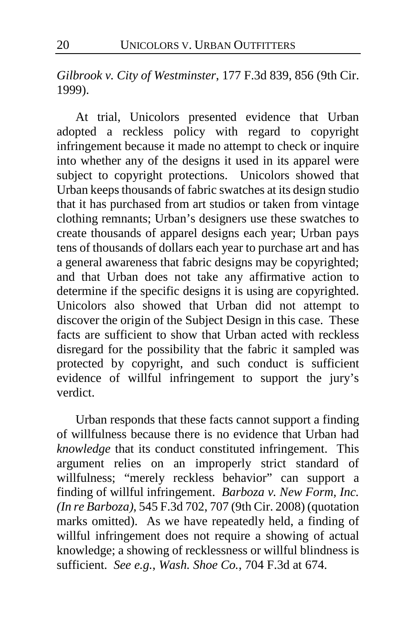*Gilbrook v. City of Westminster*, 177 F.3d 839, 856 (9th Cir. 1999).

At trial, Unicolors presented evidence that Urban adopted a reckless policy with regard to copyright infringement because it made no attempt to check or inquire into whether any of the designs it used in its apparel were subject to copyright protections. Unicolors showed that Urban keeps thousands of fabric swatches at its design studio that it has purchased from art studios or taken from vintage clothing remnants; Urban's designers use these swatches to create thousands of apparel designs each year; Urban pays tens of thousands of dollars each year to purchase art and has a general awareness that fabric designs may be copyrighted; and that Urban does not take any affirmative action to determine if the specific designs it is using are copyrighted. Unicolors also showed that Urban did not attempt to discover the origin of the Subject Design in this case. These facts are sufficient to show that Urban acted with reckless disregard for the possibility that the fabric it sampled was protected by copyright, and such conduct is sufficient evidence of willful infringement to support the jury's verdict.

Urban responds that these facts cannot support a finding of willfulness because there is no evidence that Urban had *knowledge* that its conduct constituted infringement. This argument relies on an improperly strict standard of willfulness; "merely reckless behavior" can support a finding of willful infringement. *Barboza v. New Form, Inc. (In re Barboza)*, 545 F.3d 702, 707 (9th Cir. 2008) (quotation marks omitted). As we have repeatedly held, a finding of willful infringement does not require a showing of actual knowledge; a showing of recklessness or willful blindness is sufficient. *See e.g.*, *Wash. Shoe Co.*, 704 F.3d at 674.